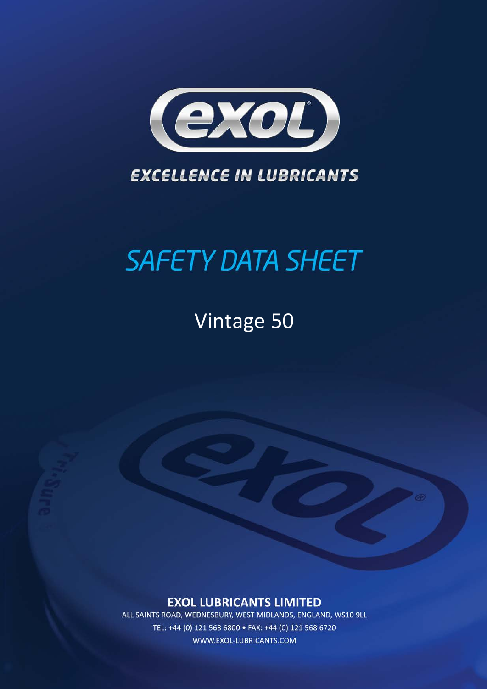

### **EXCELLENCE IN LUBRICANTS**

# **SAFETY DATA SHEET**

## **Vintage 50**

### **EXOL LUBRICANTS LIMITED**

ALL SAINTS ROAD, WEDNESBURY, WEST MIDLANDS, ENGLAND, WS10 9LL TEL: +44 (0) 121 568 6800 · FAX: +44 (0) 121 568 6720 WWW.EXOL-LUBRICANTS.COM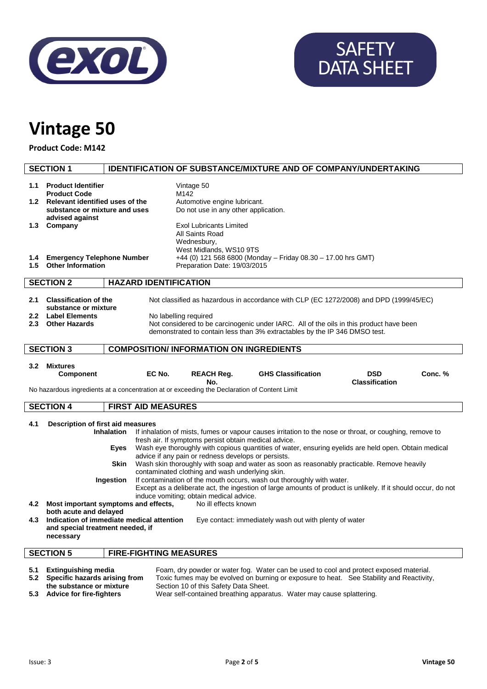

# SAFETY DATA SHEET

## **Vintage 50**

**Product Code: M142**

|                                                                                                                                                                                                                                                                                                                                                                                                                                                                                                                                                                                                                                                                                                                                                                                                                                                                                                                   | <b>SECTION 1</b>                                                                                                                                                                                                                                      |                              |                                                                                                                                                                                                                           | <b>IDENTIFICATION OF SUBSTANCE/MIXTURE AND OF COMPANY/UNDERTAKING</b> |                                     |         |
|-------------------------------------------------------------------------------------------------------------------------------------------------------------------------------------------------------------------------------------------------------------------------------------------------------------------------------------------------------------------------------------------------------------------------------------------------------------------------------------------------------------------------------------------------------------------------------------------------------------------------------------------------------------------------------------------------------------------------------------------------------------------------------------------------------------------------------------------------------------------------------------------------------------------|-------------------------------------------------------------------------------------------------------------------------------------------------------------------------------------------------------------------------------------------------------|------------------------------|---------------------------------------------------------------------------------------------------------------------------------------------------------------------------------------------------------------------------|-----------------------------------------------------------------------|-------------------------------------|---------|
| 1.1<br>1.4<br>$1.5^{\circ}$                                                                                                                                                                                                                                                                                                                                                                                                                                                                                                                                                                                                                                                                                                                                                                                                                                                                                       | <b>Product Identifier</b><br><b>Product Code</b><br>1.2 Relevant identified uses of the<br>substance or mixture and uses<br>advised against<br>1.3 Company<br><b>Emergency Telephone Number</b>                                                       |                              | Vintage 50<br>M142<br>Automotive engine lubricant.<br>Do not use in any other application.<br><b>Exol Lubricants Limited</b><br>All Saints Road<br>Wednesbury,<br>West Midlands, WS10 9TS<br>Preparation Date: 19/03/2015 | +44 (0) 121 568 6800 (Monday - Friday 08.30 - 17.00 hrs GMT)          |                                     |         |
|                                                                                                                                                                                                                                                                                                                                                                                                                                                                                                                                                                                                                                                                                                                                                                                                                                                                                                                   | <b>Other Information</b>                                                                                                                                                                                                                              |                              |                                                                                                                                                                                                                           |                                                                       |                                     |         |
|                                                                                                                                                                                                                                                                                                                                                                                                                                                                                                                                                                                                                                                                                                                                                                                                                                                                                                                   | <b>SECTION 2</b>                                                                                                                                                                                                                                      | <b>HAZARD IDENTIFICATION</b> |                                                                                                                                                                                                                           |                                                                       |                                     |         |
| <b>Classification of the</b><br>2.1<br>Not classified as hazardous in accordance with CLP (EC 1272/2008) and DPD (1999/45/EC)<br>substance or mixture<br>2.2 Label Elements<br>No labelling required<br>2.3<br><b>Other Hazards</b><br>Not considered to be carcinogenic under IARC. All of the oils in this product have been<br>demonstrated to contain less than 3% extractables by the IP 346 DMSO test.                                                                                                                                                                                                                                                                                                                                                                                                                                                                                                      |                                                                                                                                                                                                                                                       |                              |                                                                                                                                                                                                                           |                                                                       |                                     |         |
|                                                                                                                                                                                                                                                                                                                                                                                                                                                                                                                                                                                                                                                                                                                                                                                                                                                                                                                   | <b>SECTION 3</b>                                                                                                                                                                                                                                      |                              | <b>COMPOSITION/ INFORMATION ON INGREDIENTS</b>                                                                                                                                                                            |                                                                       |                                     |         |
|                                                                                                                                                                                                                                                                                                                                                                                                                                                                                                                                                                                                                                                                                                                                                                                                                                                                                                                   | 3.2 Mixtures<br><b>Component</b>                                                                                                                                                                                                                      | EC No.                       | <b>REACH Reg.</b><br>No.<br>No hazardous ingredients at a concentration at or exceeding the Declaration of Content Limit                                                                                                  | <b>GHS Classification</b>                                             | <b>DSD</b><br><b>Classification</b> | Conc. % |
|                                                                                                                                                                                                                                                                                                                                                                                                                                                                                                                                                                                                                                                                                                                                                                                                                                                                                                                   | <b>SECTION 4</b>                                                                                                                                                                                                                                      | <b>FIRST AID MEASURES</b>    |                                                                                                                                                                                                                           |                                                                       |                                     |         |
| 4.1<br>Description of first aid measures<br>If inhalation of mists, fumes or vapour causes irritation to the nose or throat, or coughing, remove to<br><b>Inhalation</b><br>fresh air. If symptoms persist obtain medical advice.<br>Wash eye thoroughly with copious quantities of water, ensuring eyelids are held open. Obtain medical<br>Eves<br>advice if any pain or redness develops or persists.<br>Wash skin thoroughly with soap and water as soon as reasonably practicable. Remove heavily<br>Skin<br>contaminated clothing and wash underlying skin.<br>Ingestion<br>If contamination of the mouth occurs, wash out thoroughly with water.<br>Except as a deliberate act, the ingestion of large amounts of product is unlikely. If it should occur, do not<br>induce vomiting; obtain medical advice.<br>4.2 Most important symptoms and effects,<br>No ill effects known<br>both acute and delayed |                                                                                                                                                                                                                                                       |                              |                                                                                                                                                                                                                           |                                                                       |                                     |         |
|                                                                                                                                                                                                                                                                                                                                                                                                                                                                                                                                                                                                                                                                                                                                                                                                                                                                                                                   | Indication of immediate medical attention<br>4.3<br>Eye contact: immediately wash out with plenty of water<br>and special treatment needed, if<br>necessary                                                                                           |                              |                                                                                                                                                                                                                           |                                                                       |                                     |         |
| <b>FIRE-FIGHTING MEASURES</b><br><b>SECTION 5</b>                                                                                                                                                                                                                                                                                                                                                                                                                                                                                                                                                                                                                                                                                                                                                                                                                                                                 |                                                                                                                                                                                                                                                       |                              |                                                                                                                                                                                                                           |                                                                       |                                     |         |
| 5.1                                                                                                                                                                                                                                                                                                                                                                                                                                                                                                                                                                                                                                                                                                                                                                                                                                                                                                               | Foam, dry powder or water fog. Water can be used to cool and protect exposed material.<br><b>Extinguishing media</b><br>5.2 Specific hazards arising from<br>Toxic fumes may be evolved on burning or exposure to heat. See Stability and Reactivity, |                              |                                                                                                                                                                                                                           |                                                                       |                                     |         |

- **the substance or mixture** Section 10 of this Safety Data Sheet.
	- **5.3 Advice for fire-fighters** Wear self-contained breathing apparatus. Water may cause splattering.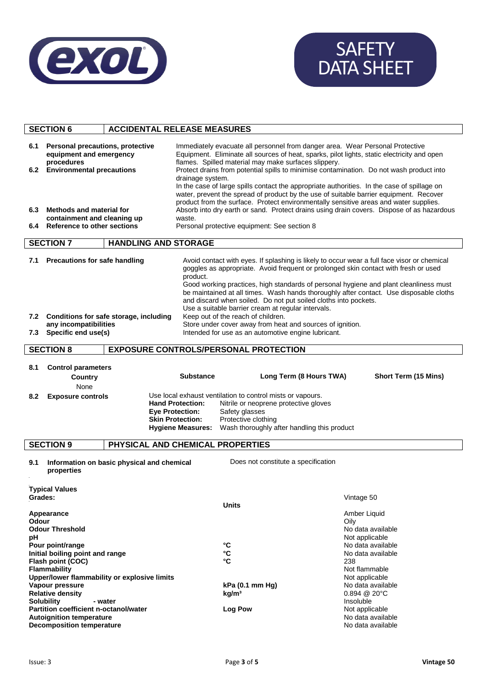

# SAFETY DATA SHEET

| <b>ACCIDENTAL RELEASE MEASURES</b><br><b>SECTION 6</b>                                                                   |                                                                          |                                                                                                                                                                                                                                                                                                                                                                                                                                                                                                                                               |                                                                               |                                                                                                     |                                                                                                                                                                                                                                                                                                                                                                                                                                          |  |
|--------------------------------------------------------------------------------------------------------------------------|--------------------------------------------------------------------------|-----------------------------------------------------------------------------------------------------------------------------------------------------------------------------------------------------------------------------------------------------------------------------------------------------------------------------------------------------------------------------------------------------------------------------------------------------------------------------------------------------------------------------------------------|-------------------------------------------------------------------------------|-----------------------------------------------------------------------------------------------------|------------------------------------------------------------------------------------------------------------------------------------------------------------------------------------------------------------------------------------------------------------------------------------------------------------------------------------------------------------------------------------------------------------------------------------------|--|
| <b>Personal precautions, protective</b><br>6.1<br>equipment and emergency<br>procedures<br>6.2 Environmental precautions |                                                                          | Immediately evacuate all personnel from danger area. Wear Personal Protective<br>Equipment. Eliminate all sources of heat, sparks, pilot lights, static electricity and open<br>flames. Spilled material may make surfaces slippery.<br>Protect drains from potential spills to minimise contamination. Do not wash product into<br>drainage system.<br>In the case of large spills contact the appropriate authorities. In the case of spillage on<br>water, prevent the spread of product by the use of suitable barrier equipment. Recover |                                                                               |                                                                                                     |                                                                                                                                                                                                                                                                                                                                                                                                                                          |  |
| Methods and material for<br>6.3                                                                                          |                                                                          | product from the surface. Protect environmentally sensitive areas and water supplies.<br>Absorb into dry earth or sand. Protect drains using drain covers. Dispose of as hazardous<br>waste.                                                                                                                                                                                                                                                                                                                                                  |                                                                               |                                                                                                     |                                                                                                                                                                                                                                                                                                                                                                                                                                          |  |
| containment and cleaning up<br>6.4 Reference to other sections                                                           |                                                                          | Personal protective equipment: See section 8                                                                                                                                                                                                                                                                                                                                                                                                                                                                                                  |                                                                               |                                                                                                     |                                                                                                                                                                                                                                                                                                                                                                                                                                          |  |
|                                                                                                                          | <b>SECTION 7</b>                                                         | <b>HANDLING AND STORAGE</b>                                                                                                                                                                                                                                                                                                                                                                                                                                                                                                                   |                                                                               |                                                                                                     |                                                                                                                                                                                                                                                                                                                                                                                                                                          |  |
| 7.1                                                                                                                      | <b>Precautions for safe handling</b>                                     |                                                                                                                                                                                                                                                                                                                                                                                                                                                                                                                                               | product.                                                                      | Use a suitable barrier cream at regular intervals.                                                  | Avoid contact with eyes. If splashing is likely to occur wear a full face visor or chemical<br>goggles as appropriate. Avoid frequent or prolonged skin contact with fresh or used<br>Good working practices, high standards of personal hygiene and plant cleanliness must<br>be maintained at all times. Wash hands thoroughly after contact. Use disposable cloths<br>and discard when soiled. Do not put soiled cloths into pockets. |  |
|                                                                                                                          | 7.2 Conditions for safe storage, including                               |                                                                                                                                                                                                                                                                                                                                                                                                                                                                                                                                               |                                                                               | Keep out of the reach of children.                                                                  |                                                                                                                                                                                                                                                                                                                                                                                                                                          |  |
| 7.3                                                                                                                      | any incompatibilities<br>Specific end use(s)                             |                                                                                                                                                                                                                                                                                                                                                                                                                                                                                                                                               |                                                                               | Store under cover away from heat and sources of ignition.                                           |                                                                                                                                                                                                                                                                                                                                                                                                                                          |  |
|                                                                                                                          |                                                                          |                                                                                                                                                                                                                                                                                                                                                                                                                                                                                                                                               |                                                                               | Intended for use as an automotive engine lubricant.                                                 |                                                                                                                                                                                                                                                                                                                                                                                                                                          |  |
|                                                                                                                          | <b>SECTION 8</b>                                                         |                                                                                                                                                                                                                                                                                                                                                                                                                                                                                                                                               |                                                                               | <b>EXPOSURE CONTROLS/PERSONAL PROTECTION</b>                                                        |                                                                                                                                                                                                                                                                                                                                                                                                                                          |  |
| 8.1<br>8.2                                                                                                               | <b>Control parameters</b><br>Country<br>None<br><b>Exposure controls</b> |                                                                                                                                                                                                                                                                                                                                                                                                                                                                                                                                               | <b>Substance</b><br><b>Hand Protection:</b>                                   | Use local exhaust ventilation to control mists or vapours.<br>Nitrile or neoprene protective gloves | Long Term (8 Hours TWA)<br>Short Term (15 Mins)                                                                                                                                                                                                                                                                                                                                                                                          |  |
|                                                                                                                          |                                                                          |                                                                                                                                                                                                                                                                                                                                                                                                                                                                                                                                               | <b>Eye Protection:</b><br><b>Skin Protection:</b><br><b>Hygiene Measures:</b> | Safety glasses<br>Protective clothing<br>Wash thoroughly after handling this product                |                                                                                                                                                                                                                                                                                                                                                                                                                                          |  |
|                                                                                                                          | <b>SECTION 9</b>                                                         | PHYSICAL AND CHEMICAL PROPERTIES                                                                                                                                                                                                                                                                                                                                                                                                                                                                                                              |                                                                               |                                                                                                     |                                                                                                                                                                                                                                                                                                                                                                                                                                          |  |
| Does not constitute a specification<br>9.1<br>Information on basic physical and chemical<br>properties                   |                                                                          |                                                                                                                                                                                                                                                                                                                                                                                                                                                                                                                                               |                                                                               |                                                                                                     |                                                                                                                                                                                                                                                                                                                                                                                                                                          |  |
| Grades:                                                                                                                  | <b>Typical Values</b>                                                    |                                                                                                                                                                                                                                                                                                                                                                                                                                                                                                                                               |                                                                               | <b>Units</b>                                                                                        | Vintage 50                                                                                                                                                                                                                                                                                                                                                                                                                               |  |
| Appearance                                                                                                               |                                                                          |                                                                                                                                                                                                                                                                                                                                                                                                                                                                                                                                               |                                                                               | Amber Liquid                                                                                        |                                                                                                                                                                                                                                                                                                                                                                                                                                          |  |
| Odour<br><b>Odour Threshold</b>                                                                                          |                                                                          |                                                                                                                                                                                                                                                                                                                                                                                                                                                                                                                                               |                                                                               | Oily<br>No data available                                                                           |                                                                                                                                                                                                                                                                                                                                                                                                                                          |  |
| рH                                                                                                                       |                                                                          |                                                                                                                                                                                                                                                                                                                                                                                                                                                                                                                                               |                                                                               | Not applicable                                                                                      |                                                                                                                                                                                                                                                                                                                                                                                                                                          |  |
| Pour point/range                                                                                                         |                                                                          |                                                                                                                                                                                                                                                                                                                                                                                                                                                                                                                                               |                                                                               | °C                                                                                                  | No data available                                                                                                                                                                                                                                                                                                                                                                                                                        |  |
| Initial boiling point and range                                                                                          |                                                                          |                                                                                                                                                                                                                                                                                                                                                                                                                                                                                                                                               |                                                                               | $\mathbf{C}$                                                                                        | No data available                                                                                                                                                                                                                                                                                                                                                                                                                        |  |
| Flash point (COC)<br><b>Flammability</b>                                                                                 |                                                                          |                                                                                                                                                                                                                                                                                                                                                                                                                                                                                                                                               |                                                                               | °C                                                                                                  | 238<br>Not flammable                                                                                                                                                                                                                                                                                                                                                                                                                     |  |
| Upper/lower flammability or explosive limits                                                                             |                                                                          |                                                                                                                                                                                                                                                                                                                                                                                                                                                                                                                                               |                                                                               |                                                                                                     | Not applicable                                                                                                                                                                                                                                                                                                                                                                                                                           |  |
| Vapour pressure                                                                                                          |                                                                          |                                                                                                                                                                                                                                                                                                                                                                                                                                                                                                                                               | kPa (0.1 mm Hg)                                                               | No data available                                                                                   |                                                                                                                                                                                                                                                                                                                                                                                                                                          |  |
| <b>Relative density</b>                                                                                                  |                                                                          |                                                                                                                                                                                                                                                                                                                                                                                                                                                                                                                                               | kg/m <sup>3</sup>                                                             | 0.894 @ 20°C                                                                                        |                                                                                                                                                                                                                                                                                                                                                                                                                                          |  |
| <b>Solubility</b><br>- water<br>Partition coefficient n-octanol/water                                                    |                                                                          |                                                                                                                                                                                                                                                                                                                                                                                                                                                                                                                                               |                                                                               |                                                                                                     | Insoluble                                                                                                                                                                                                                                                                                                                                                                                                                                |  |
| <b>Autoignition temperature</b>                                                                                          |                                                                          |                                                                                                                                                                                                                                                                                                                                                                                                                                                                                                                                               |                                                                               | <b>Log Pow</b>                                                                                      | Not applicable<br>No data available                                                                                                                                                                                                                                                                                                                                                                                                      |  |
| <b>Decomposition temperature</b>                                                                                         |                                                                          |                                                                                                                                                                                                                                                                                                                                                                                                                                                                                                                                               |                                                                               |                                                                                                     | No data available                                                                                                                                                                                                                                                                                                                                                                                                                        |  |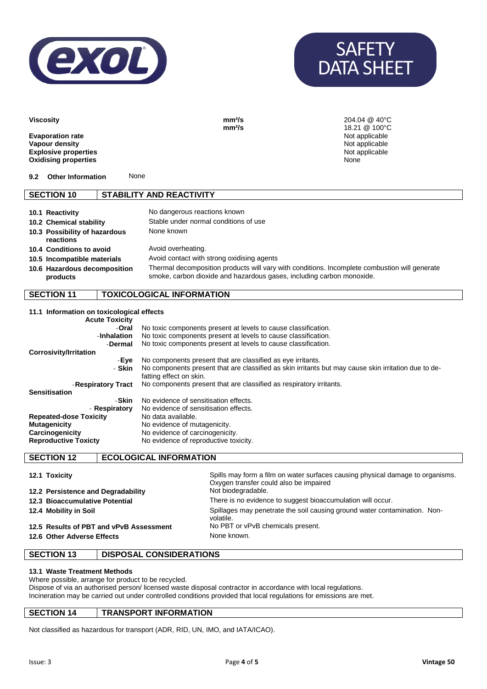



| <b>Viscosity</b>                                                                                        |                                 | mm <sup>2</sup> /s<br>mm <sup>2</sup> /s | 204.04 @ 40°C<br>18.21 @ 100°C                             |
|---------------------------------------------------------------------------------------------------------|---------------------------------|------------------------------------------|------------------------------------------------------------|
| <b>Evaporation rate</b><br>Vapour density<br><b>Explosive properties</b><br><b>Oxidising properties</b> |                                 |                                          | Not applicable<br>Not applicable<br>Not applicable<br>None |
| <b>Other Information</b><br>9.2                                                                         | None                            |                                          |                                                            |
| <b>SECTION 10</b>                                                                                       | <b>STABILITY AND REACTIVITY</b> |                                          |                                                            |
|                                                                                                         |                                 |                                          |                                                            |

| 10.1 Reactivity                            | No dangerous reactions known                                                                                                                                           |
|--------------------------------------------|------------------------------------------------------------------------------------------------------------------------------------------------------------------------|
| 10.2 Chemical stability                    | Stable under normal conditions of use                                                                                                                                  |
| 10.3 Possibility of hazardous<br>reactions | None known                                                                                                                                                             |
| 10.4 Conditions to avoid                   | Avoid overheating.                                                                                                                                                     |
| 10.5 Incompatible materials                | Avoid contact with strong oxidising agents                                                                                                                             |
| 10.6 Hazardous decomposition<br>products   | Thermal decomposition products will vary with conditions. Incomplete combustion will generate<br>smoke, carbon dioxide and hazardous gases, including carbon monoxide. |

### **SECTION 11 TOXICOLOGICAL INFORMATION**

| 11.1 Information on toxicological effects<br><b>Acute Toxicity</b> |                                                                                                                                 |
|--------------------------------------------------------------------|---------------------------------------------------------------------------------------------------------------------------------|
| -Oral                                                              | No toxic components present at levels to cause classification.                                                                  |
| -Inhalation                                                        | No toxic components present at levels to cause classification.                                                                  |
| -Dermal                                                            | No toxic components present at levels to cause classification.                                                                  |
| Corrosivity/Irritation                                             |                                                                                                                                 |
| -Eve                                                               | No components present that are classified as eye irritants.                                                                     |
| - Skin                                                             | No components present that are classified as skin irritants but may cause skin irritation due to de-<br>fatting effect on skin. |
| -Respiratory Tract                                                 | No components present that are classified as respiratory irritants.                                                             |
| <b>Sensitisation</b>                                               |                                                                                                                                 |
| -Skin                                                              | No evidence of sensitisation effects.                                                                                           |
| - Respiratory                                                      | No evidence of sensitisation effects.                                                                                           |
| <b>Repeated-dose Toxicity</b>                                      | No data available.                                                                                                              |
| <b>Mutagenicity</b>                                                | No evidence of mutagenicity.                                                                                                    |
| Carcinogenicity                                                    | No evidence of carcinogenicity.                                                                                                 |
| <b>Reproductive Toxicty</b>                                        | No evidence of reproductive toxicity.                                                                                           |

#### **SECTION 12 ECOLOGICAL INFORMATION**

| 12.1 Toxicity<br>12.2 Persistence and Degradability | Spills may form a film on water surfaces causing physical damage to organisms.<br>Oxygen transfer could also be impaired<br>Not biodegradable. |
|-----------------------------------------------------|------------------------------------------------------------------------------------------------------------------------------------------------|
| 12.3 Bioaccumulative Potential                      | There is no evidence to suggest bioaccumulation will occur.                                                                                    |
| 12.4 Mobility in Soil                               | Spillages may penetrate the soil causing ground water contamination. Non-<br>volatile.                                                         |
| 12.5 Results of PBT and vPvB Assessment             | No PBT or vPvB chemicals present.                                                                                                              |
| 12.6 Other Adverse Effects                          | None known.                                                                                                                                    |

#### **SECTION 13 DISPOSAL CONSIDERATIONS**

#### **13.1 Waste Treatment Methods**

Where possible, arrange for product to be recycled. Dispose of via an authorised person/ licensed waste disposal contractor in accordance with local regulations. Incineration may be carried out under controlled conditions provided that local regulations for emissions are met.

#### **SECTION 14 TRANSPORT INFORMATION**

Not classified as hazardous for transport (ADR, RID, UN, IMO, and IATA/ICAO).